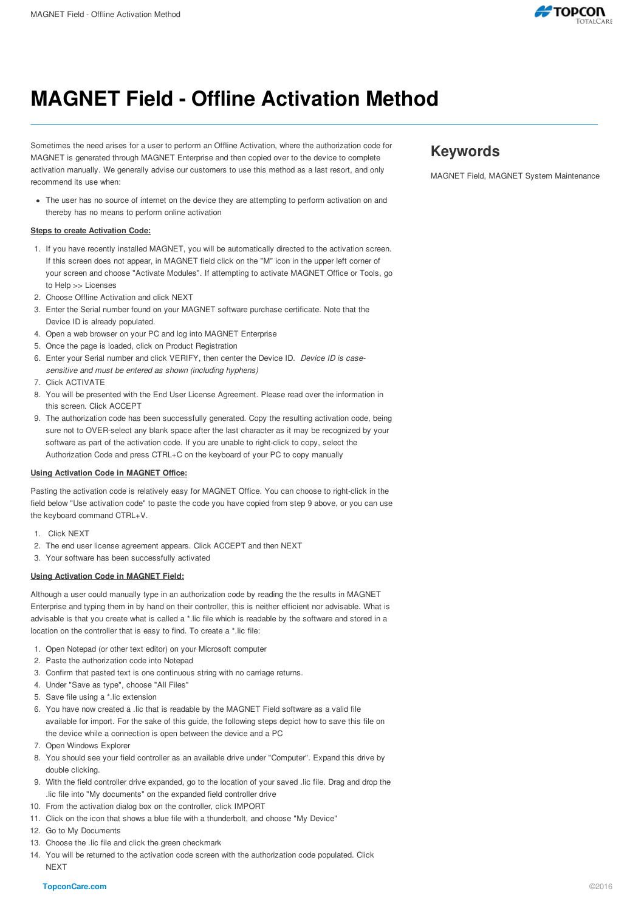

# **MAGNET Field - Offline Activation Method**

Sometimes the need arises for a user to perform an Offline Activation, where the authorization code for MAGNET is generated through MAGNET Enterprise and then copied over to the device to complete activation manually. We generally advise our customers to use this method as a last resort, and only recommend its use when:

The user has no source of internet on the device they are attempting to perform activation on and thereby has no means to perform online activation

### **Steps to create Activation Code:**

- 1. If you have recently installed MAGNET, you will be automatically directed to the activation screen. If this screen does not appear, in MAGNET field click on the "M" icon in the upper left corner of your screen and choose "Activate Modules". If attempting to activate MAGNET Office or Tools, go to Help >> Licenses
- 2. Choose Offline Activation and click NEXT
- 3. Enter the Serial number found on your MAGNET software purchase certificate. Note that the Device ID is already populated.
- 4. Open a web browser on your PC and log into MAGNET Enterprise
- 5. Once the page is loaded, click on Product Registration
- 6. Enter your Serial number and click VERIFY, then center the Device ID. *Device ID is casesensitive and must be entered as shown (including hyphens)*
- 7. Click ACTIVATE
- 8. You will be presented with the End User License Agreement. Please read over the information in this screen. Click ACCEPT
- 9. The authorization code has been successfully generated. Copy the resulting activation code, being sure not to OVER-select any blank space after the last character as it may be recognized by your software as part of the activation code. If you are unable to right-click to copy, select the Authorization Code and press CTRL+C on the keyboard of your PC to copy manually

#### **Using Activation Code in MAGNET Office:**

Pasting the activation code is relatively easy for MAGNET Office. You can choose to right-click in the field below "Use activation code" to paste the code you have copied from step 9 above, or you can use the keyboard command CTRL+V.

- 1. Click NEXT
- 2. The end user license agreement appears. Click ACCEPT and then NEXT
- 3. Your software has been successfully activated

#### **Using Activation Code in MAGNET Field:**

Although a user could manually type in an authorization code by reading the the results in MAGNET Enterprise and typing them in by hand on their controller, this is neither efficient nor advisable. What is advisable is that you create what is called a \*.lic file which is readable by the software and stored in a location on the controller that is easy to find. To create a \*.lic file:

- 1. Open Notepad (or other text editor) on your Microsoft computer
- 2. Paste the authorization code into Notepad
- 3. Confirm that pasted text is one continuous string with no carriage returns.
- 4. Under "Save as type", choose "All Files"
- 5. Save file using a \*.lic extension
- 6. You have now created a .lic that is readable by the MAGNET Field software as a valid file available for import. For the sake of this guide, the following steps depict how to save this file on the device while a connection is open between the device and a PC
- 7. Open Windows Explorer
- 8. You should see your field controller as an available drive under "Computer". Expand this drive by double clicking.
- 9. With the field controller drive expanded, go to the location of your saved .lic file. Drag and drop the .lic file into "My documents" on the expanded field controller drive
- 10. From the activation dialog box on the controller, click IMPORT
- 11. Click on the icon that shows a blue file with a thunderbolt, and choose "My Device"
- 12. Go to My Documents
- 13. Choose the .lic file and click the green checkmark
- 14. You will be returned to the activation code screen with the authorization code populated. Click **NEXT**

## **Keywords**

MAGNET Field, MAGNET System Maintenance